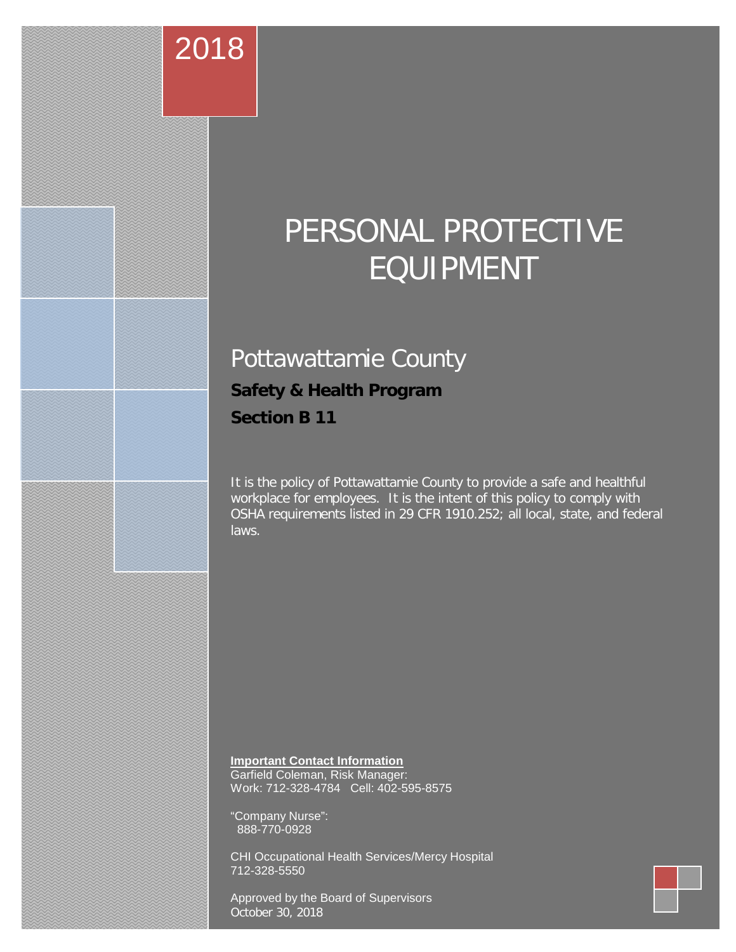# 2018

# PERSONAL PROTECTIVE EQUIPMENT

# Pottawattamie County

**Safety & Health Program** 

**Section B 11**

It is the policy of Pottawattamie County to provide a safe and healthful workplace for employees. It is the intent of this policy to comply with OSHA requirements listed in 29 CFR 1910.252; all local, state, and federal laws.

#### **Important Contact Information**

Garfield Coleman, Risk Manager: Work: 712-328-4784 Cell: 402-595-8575

"Company Nurse": 888-770-0928

CHI Occupational Health Services/Mercy Hospital 712-328-5550

Approved by the Board of Supervisors October 30, 2018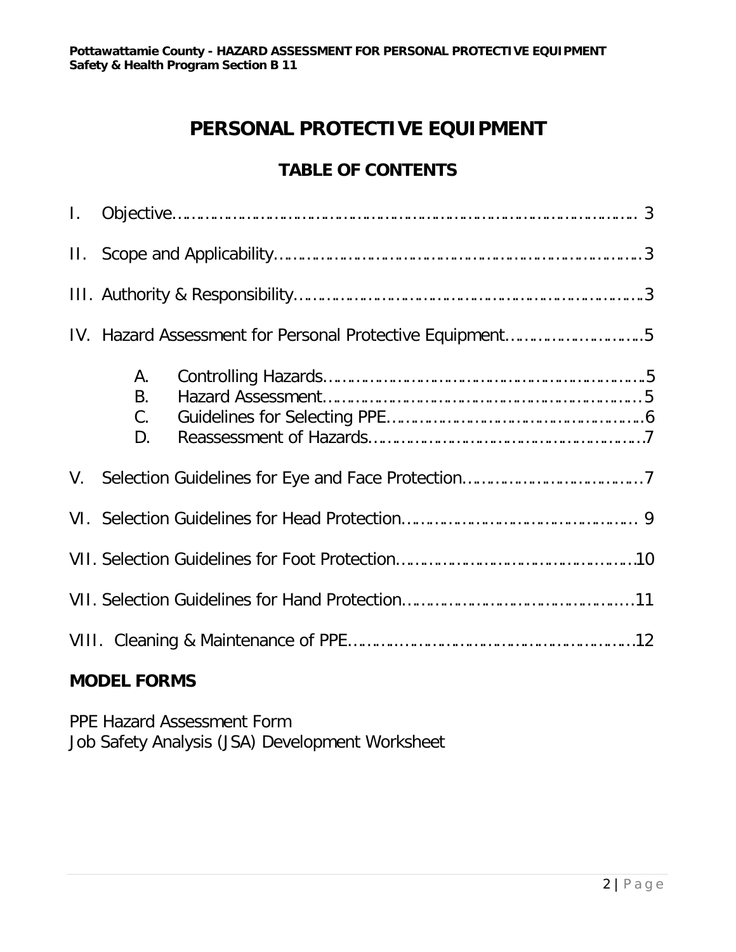# **PERSONAL PROTECTIVE EQUIPMENT**

# **TABLE OF CONTENTS**

| 1. |                             |  |  |  |
|----|-----------------------------|--|--|--|
|    |                             |  |  |  |
|    |                             |  |  |  |
|    |                             |  |  |  |
|    | А.<br><b>B.</b><br>C.<br>D. |  |  |  |
|    |                             |  |  |  |
|    |                             |  |  |  |
|    |                             |  |  |  |
|    |                             |  |  |  |
|    |                             |  |  |  |

# **MODEL FORMS**

PPE Hazard Assessment Form Job Safety Analysis (JSA) Development Worksheet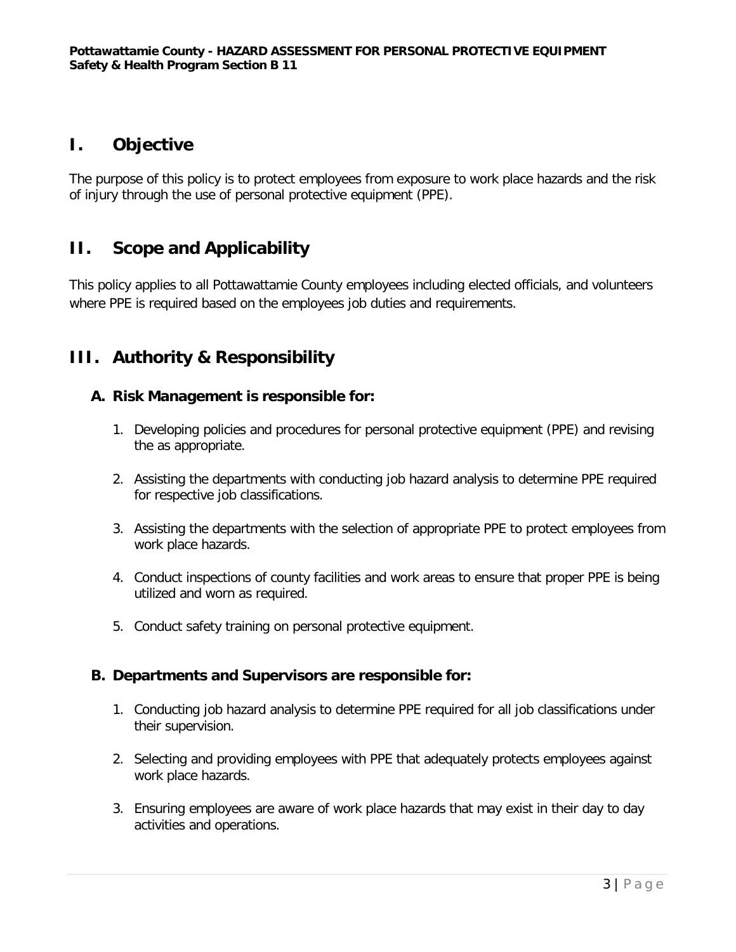# **I. Objective**

The purpose of this policy is to protect employees from exposure to work place hazards and the risk of injury through the use of personal protective equipment (PPE).

## **II. Scope and Applicability**

This policy applies to all Pottawattamie County employees including elected officials, and volunteers where PPE is required based on the employees job duties and requirements.

# **III. Authority & Responsibility**

#### **A. Risk Management is responsible for:**

- 1. Developing policies and procedures for personal protective equipment (PPE) and revising the as appropriate.
- 2. Assisting the departments with conducting job hazard analysis to determine PPE required for respective job classifications.
- 3. Assisting the departments with the selection of appropriate PPE to protect employees from work place hazards.
- 4. Conduct inspections of county facilities and work areas to ensure that proper PPE is being utilized and worn as required.
- 5. Conduct safety training on personal protective equipment.

#### **B. Departments and Supervisors are responsible for:**

- 1. Conducting job hazard analysis to determine PPE required for all job classifications under their supervision.
- 2. Selecting and providing employees with PPE that adequately protects employees against work place hazards.
- 3. Ensuring employees are aware of work place hazards that may exist in their day to day activities and operations.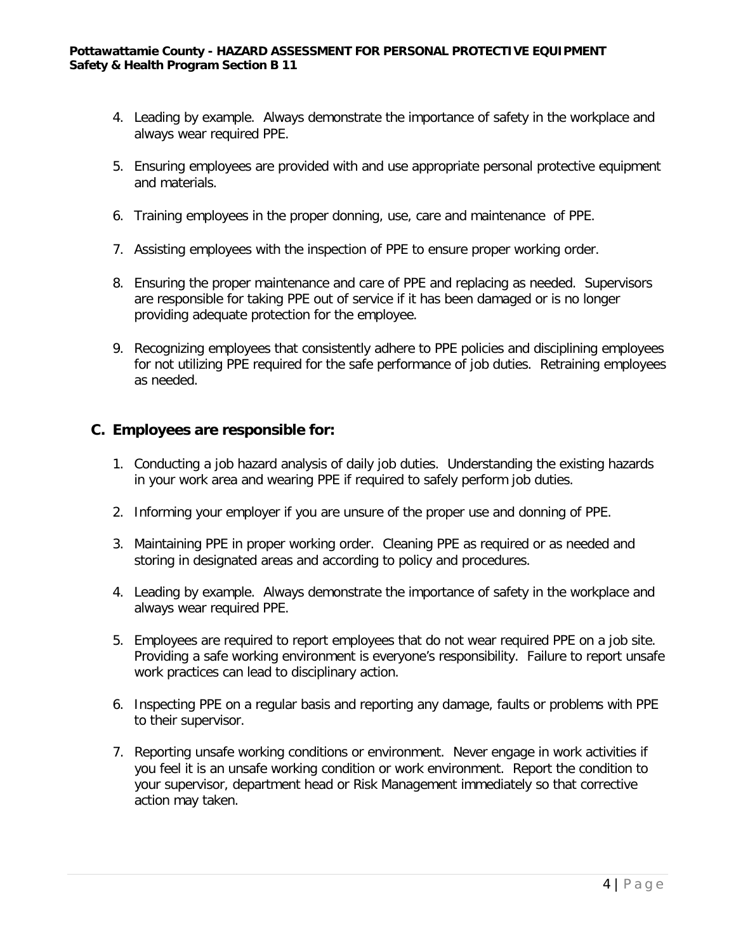- 4. Leading by example. Always demonstrate the importance of safety in the workplace and always wear required PPE.
- 5. Ensuring employees are provided with and use appropriate personal protective equipment and materials.
- 6. Training employees in the proper donning, use, care and maintenance of PPE.
- 7. Assisting employees with the inspection of PPE to ensure proper working order.
- 8. Ensuring the proper maintenance and care of PPE and replacing as needed. Supervisors are responsible for taking PPE out of service if it has been damaged or is no longer providing adequate protection for the employee.
- 9. Recognizing employees that consistently adhere to PPE policies and disciplining employees for not utilizing PPE required for the safe performance of job duties. Retraining employees as needed.

#### **C. Employees are responsible for:**

- 1. Conducting a job hazard analysis of daily job duties. Understanding the existing hazards in your work area and wearing PPE if required to safely perform job duties.
- 2. Informing your employer if you are unsure of the proper use and donning of PPE.
- 3. Maintaining PPE in proper working order. Cleaning PPE as required or as needed and storing in designated areas and according to policy and procedures.
- 4. Leading by example. Always demonstrate the importance of safety in the workplace and always wear required PPE.
- 5. Employees are required to report employees that do not wear required PPE on a job site. Providing a safe working environment is everyone's responsibility. Failure to report unsafe work practices can lead to disciplinary action.
- 6. Inspecting PPE on a regular basis and reporting any damage, faults or problems with PPE to their supervisor.
- 7. Reporting unsafe working conditions or environment. Never engage in work activities if you feel it is an unsafe working condition or work environment. Report the condition to your supervisor, department head or Risk Management immediately so that corrective action may taken.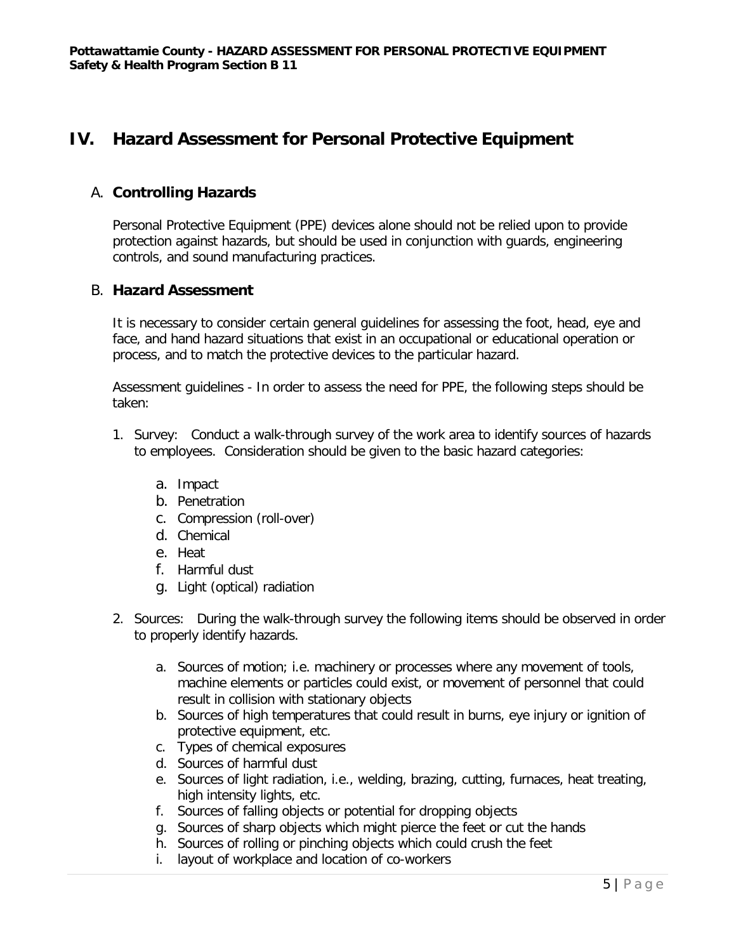# **IV. Hazard Assessment for Personal Protective Equipment**

#### A. **Controlling Hazards**

Personal Protective Equipment (PPE) devices alone should not be relied upon to provide protection against hazards, but should be used in conjunction with guards, engineering controls, and sound manufacturing practices.

#### B. **Hazard Assessment**

It is necessary to consider certain general guidelines for assessing the foot, head, eye and face, and hand hazard situations that exist in an occupational or educational operation or process, and to match the protective devices to the particular hazard.

Assessment guidelines - In order to assess the need for PPE, the following steps should be taken:

- 1. Survey: Conduct a walk-through survey of the work area to identify sources of hazards to employees. Consideration should be given to the basic hazard categories:
	- a. Impact
	- b. Penetration
	- c. Compression (roll-over)
	- d. Chemical
	- e. Heat
	- f. Harmful dust
	- g. Light (optical) radiation
- 2. Sources: During the walk-through survey the following items should be observed in order to properly identify hazards.
	- a. Sources of motion; i.e. machinery or processes where any movement of tools, machine elements or particles could exist, or movement of personnel that could result in collision with stationary objects
	- b. Sources of high temperatures that could result in burns, eye injury or ignition of protective equipment, etc.
	- c. Types of chemical exposures
	- d. Sources of harmful dust
	- e. Sources of light radiation, i.e., welding, brazing, cutting, furnaces, heat treating, high intensity lights, etc.
	- f. Sources of falling objects or potential for dropping objects
	- g. Sources of sharp objects which might pierce the feet or cut the hands
	- h. Sources of rolling or pinching objects which could crush the feet
	- i. layout of workplace and location of co-workers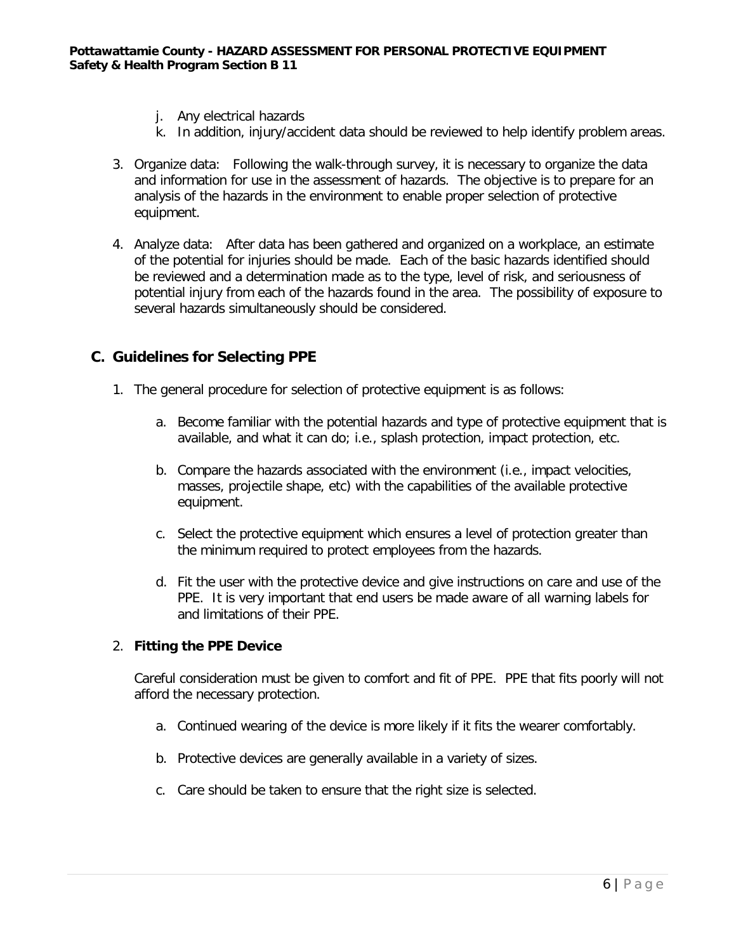- j. Any electrical hazards
- k. In addition, injury/accident data should be reviewed to help identify problem areas.
- 3. Organize data: Following the walk-through survey, it is necessary to organize the data and information for use in the assessment of hazards. The objective is to prepare for an analysis of the hazards in the environment to enable proper selection of protective equipment.
- 4. Analyze data: After data has been gathered and organized on a workplace, an estimate of the potential for injuries should be made. Each of the basic hazards identified should be reviewed and a determination made as to the type, level of risk, and seriousness of potential injury from each of the hazards found in the area. The possibility of exposure to several hazards simultaneously should be considered.

#### **C. Guidelines for Selecting PPE**

- 1. The general procedure for selection of protective equipment is as follows:
	- a. Become familiar with the potential hazards and type of protective equipment that is available, and what it can do; i.e., splash protection, impact protection, etc.
	- b. Compare the hazards associated with the environment (i.e., impact velocities, masses, projectile shape, etc) with the capabilities of the available protective equipment.
	- c. Select the protective equipment which ensures a level of protection greater than the minimum required to protect employees from the hazards.
	- d. Fit the user with the protective device and give instructions on care and use of the PPE. It is very important that end users be made aware of all warning labels for and limitations of their PPE.

#### 2. **Fitting the PPE Device**

Careful consideration must be given to comfort and fit of PPE. PPE that fits poorly will not afford the necessary protection.

- a. Continued wearing of the device is more likely if it fits the wearer comfortably.
- b. Protective devices are generally available in a variety of sizes.
- c. Care should be taken to ensure that the right size is selected.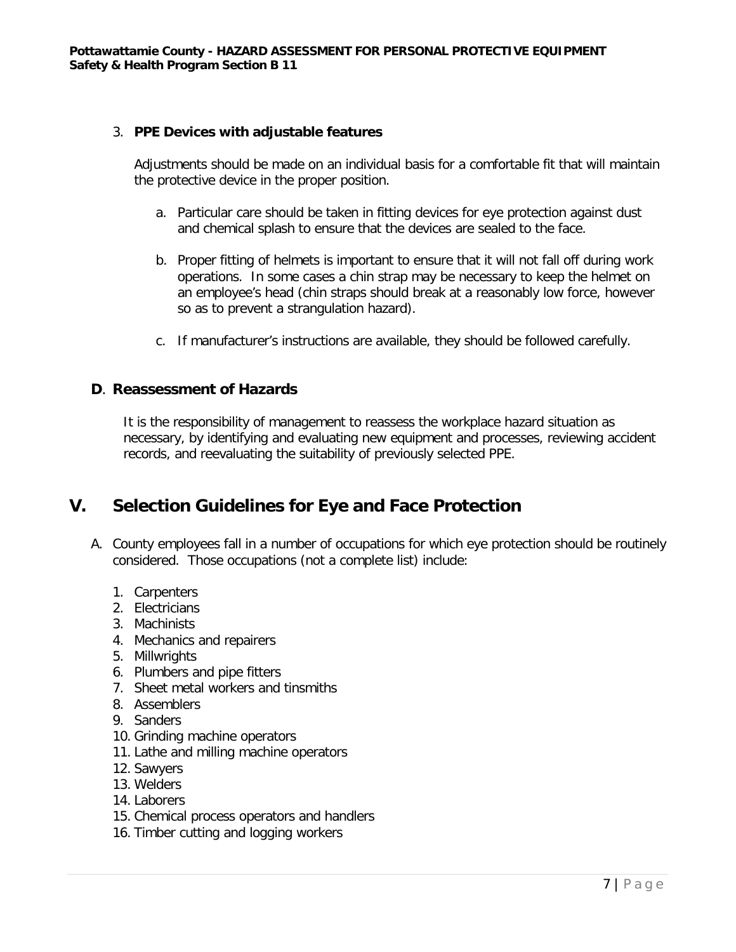#### 3. **PPE Devices with adjustable features**

Adjustments should be made on an individual basis for a comfortable fit that will maintain the protective device in the proper position.

- a. Particular care should be taken in fitting devices for eye protection against dust and chemical splash to ensure that the devices are sealed to the face.
- b. Proper fitting of helmets is important to ensure that it will not fall off during work operations. In some cases a chin strap may be necessary to keep the helmet on an employee's head (chin straps should break at a reasonably low force, however so as to prevent a strangulation hazard).
- c. If manufacturer's instructions are available, they should be followed carefully.

#### **D**. **Reassessment of Hazards**

It is the responsibility of management to reassess the workplace hazard situation as necessary, by identifying and evaluating new equipment and processes, reviewing accident records, and reevaluating the suitability of previously selected PPE.

## **V. Selection Guidelines for Eye and Face Protection**

- A. County employees fall in a number of occupations for which eye protection should be routinely considered. Those occupations (not a complete list) include:
	- 1. Carpenters
	- 2. Electricians
	- 3. Machinists
	- 4. Mechanics and repairers
	- 5. Millwrights
	- 6. Plumbers and pipe fitters
	- 7. Sheet metal workers and tinsmiths
	- 8. Assemblers
	- 9. Sanders
	- 10. Grinding machine operators
	- 11. Lathe and milling machine operators
	- 12. Sawyers
	- 13. Welders
	- 14. Laborers
	- 15. Chemical process operators and handlers
	- 16. Timber cutting and logging workers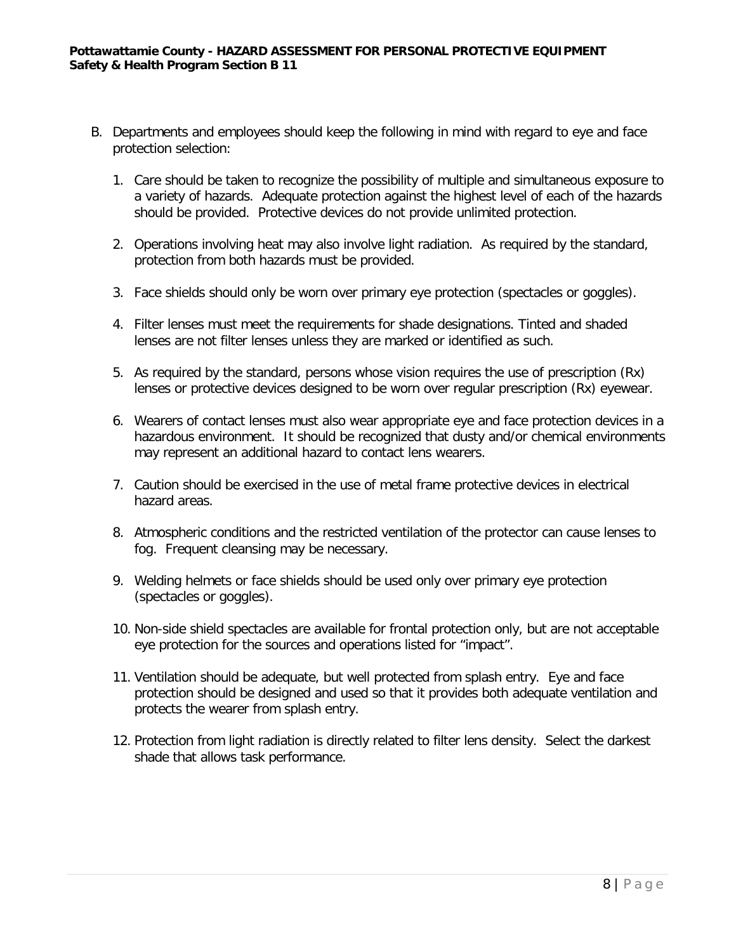- B. Departments and employees should keep the following in mind with regard to eye and face protection selection:
	- 1. Care should be taken to recognize the possibility of multiple and simultaneous exposure to a variety of hazards. Adequate protection against the highest level of each of the hazards should be provided. Protective devices do not provide unlimited protection.
	- 2. Operations involving heat may also involve light radiation. As required by the standard, protection from both hazards must be provided.
	- 3. Face shields should only be worn over primary eye protection (spectacles or goggles).
	- 4. Filter lenses must meet the requirements for shade designations. Tinted and shaded lenses are not filter lenses unless they are marked or identified as such.
	- 5. As required by the standard, persons whose vision requires the use of prescription (Rx) lenses or protective devices designed to be worn over regular prescription (Rx) eyewear.
	- 6. Wearers of contact lenses must also wear appropriate eye and face protection devices in a hazardous environment. It should be recognized that dusty and/or chemical environments may represent an additional hazard to contact lens wearers.
	- 7. Caution should be exercised in the use of metal frame protective devices in electrical hazard areas.
	- 8. Atmospheric conditions and the restricted ventilation of the protector can cause lenses to fog. Frequent cleansing may be necessary.
	- 9. Welding helmets or face shields should be used only over primary eye protection (spectacles or goggles).
	- 10. Non-side shield spectacles are available for frontal protection only, but are not acceptable eye protection for the sources and operations listed for "impact".
	- 11. Ventilation should be adequate, but well protected from splash entry. Eye and face protection should be designed and used so that it provides both adequate ventilation and protects the wearer from splash entry.
	- 12. Protection from light radiation is directly related to filter lens density. Select the darkest shade that allows task performance.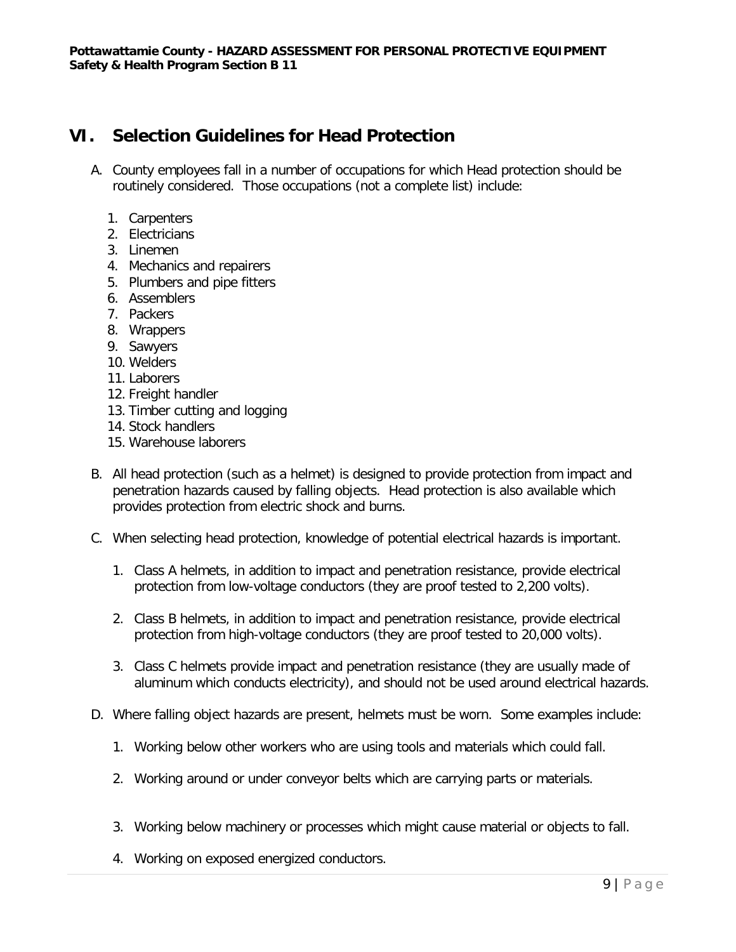## **VI. Selection Guidelines for Head Protection**

- A. County employees fall in a number of occupations for which Head protection should be routinely considered. Those occupations (not a complete list) include:
	- 1. Carpenters
	- 2. Electricians
	- 3. Linemen
	- 4. Mechanics and repairers
	- 5. Plumbers and pipe fitters
	- 6. Assemblers
	- 7. Packers
	- 8. Wrappers
	- 9. Sawyers
	- 10. Welders
	- 11. Laborers
	- 12. Freight handler
	- 13. Timber cutting and logging
	- 14. Stock handlers
	- 15. Warehouse laborers
- B. All head protection (such as a helmet) is designed to provide protection from impact and penetration hazards caused by falling objects. Head protection is also available which provides protection from electric shock and burns.
- C. When selecting head protection, knowledge of potential electrical hazards is important.
	- 1. Class A helmets, in addition to impact and penetration resistance, provide electrical protection from low-voltage conductors (they are proof tested to 2,200 volts).
	- 2. Class B helmets, in addition to impact and penetration resistance, provide electrical protection from high-voltage conductors (they are proof tested to 20,000 volts).
	- 3. Class C helmets provide impact and penetration resistance (they are usually made of aluminum which conducts electricity), and should not be used around electrical hazards.
- D. Where falling object hazards are present, helmets must be worn. Some examples include:
	- 1. Working below other workers who are using tools and materials which could fall.
	- 2. Working around or under conveyor belts which are carrying parts or materials.
	- 3. Working below machinery or processes which might cause material or objects to fall.
	- 4. Working on exposed energized conductors.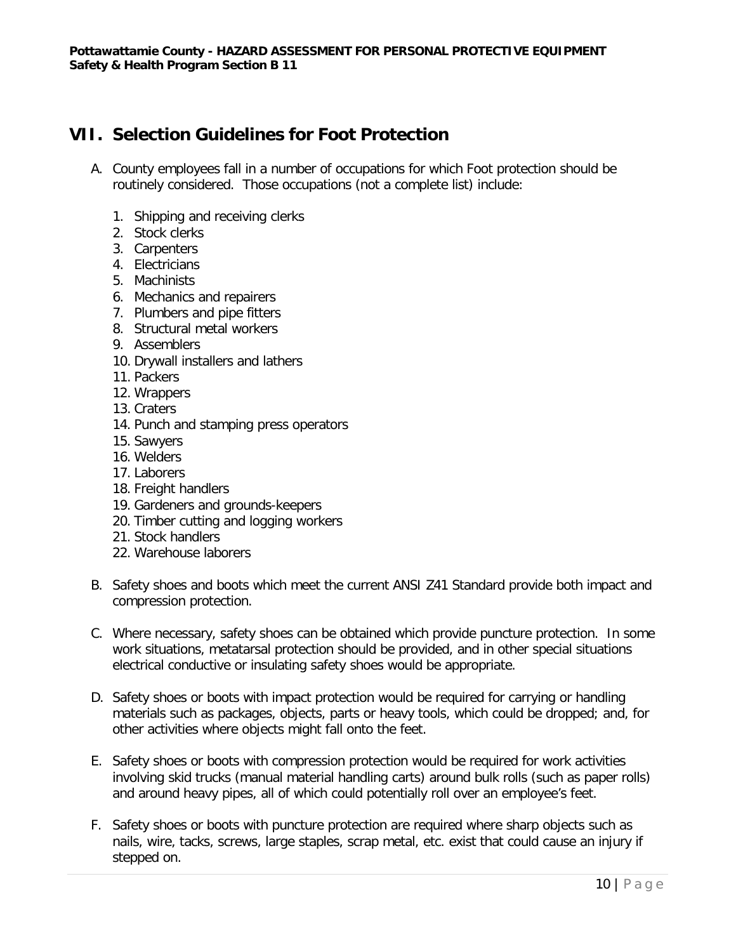# **VII. Selection Guidelines for Foot Protection**

- A. County employees fall in a number of occupations for which Foot protection should be routinely considered. Those occupations (not a complete list) include:
	- 1. Shipping and receiving clerks
	- 2. Stock clerks
	- 3. Carpenters
	- 4. Electricians
	- 5. Machinists
	- 6. Mechanics and repairers
	- 7. Plumbers and pipe fitters
	- 8. Structural metal workers
	- 9. Assemblers
	- 10. Drywall installers and lathers
	- 11. Packers
	- 12. Wrappers
	- 13. Craters
	- 14. Punch and stamping press operators
	- 15. Sawyers
	- 16. Welders
	- 17. Laborers
	- 18. Freight handlers
	- 19. Gardeners and grounds-keepers
	- 20. Timber cutting and logging workers
	- 21. Stock handlers
	- 22. Warehouse laborers
- B. Safety shoes and boots which meet the current ANSI Z41 Standard provide both impact and compression protection.
- C. Where necessary, safety shoes can be obtained which provide puncture protection. In some work situations, metatarsal protection should be provided, and in other special situations electrical conductive or insulating safety shoes would be appropriate.
- D. Safety shoes or boots with impact protection would be required for carrying or handling materials such as packages, objects, parts or heavy tools, which could be dropped; and, for other activities where objects might fall onto the feet.
- E. Safety shoes or boots with compression protection would be required for work activities involving skid trucks (manual material handling carts) around bulk rolls (such as paper rolls) and around heavy pipes, all of which could potentially roll over an employee's feet.
- F. Safety shoes or boots with puncture protection are required where sharp objects such as nails, wire, tacks, screws, large staples, scrap metal, etc. exist that could cause an injury if stepped on.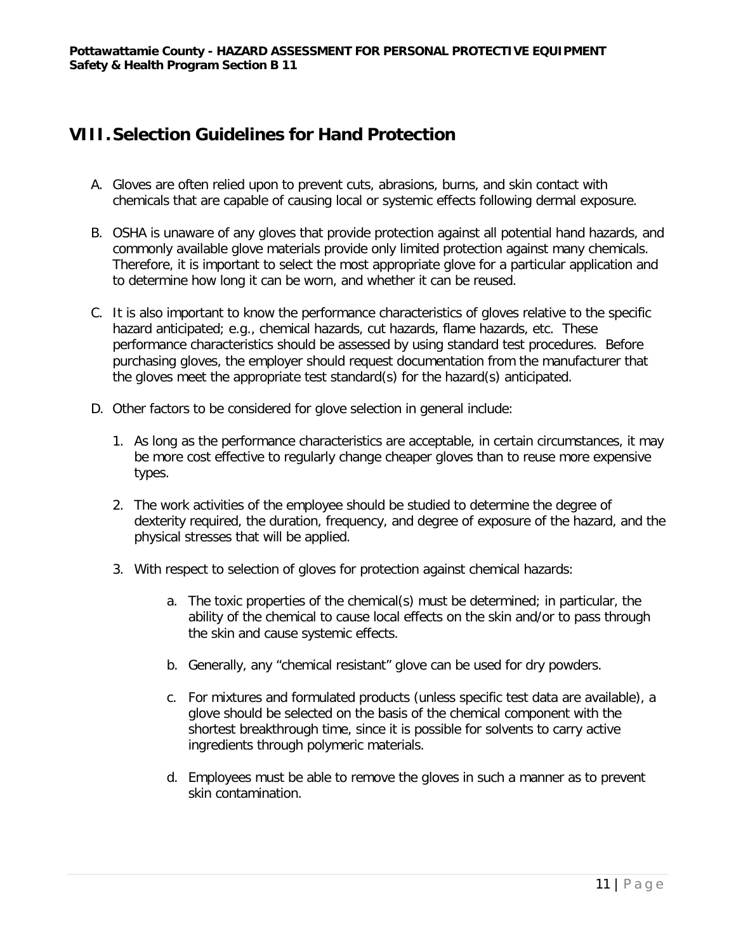# **VIII.Selection Guidelines for Hand Protection**

- A. Gloves are often relied upon to prevent cuts, abrasions, burns, and skin contact with chemicals that are capable of causing local or systemic effects following dermal exposure.
- B. OSHA is unaware of any gloves that provide protection against all potential hand hazards, and commonly available glove materials provide only limited protection against many chemicals. Therefore, it is important to select the most appropriate glove for a particular application and to determine how long it can be worn, and whether it can be reused.
- C. It is also important to know the performance characteristics of gloves relative to the specific hazard anticipated; e.g., chemical hazards, cut hazards, flame hazards, etc. These performance characteristics should be assessed by using standard test procedures. Before purchasing gloves, the employer should request documentation from the manufacturer that the gloves meet the appropriate test standard(s) for the hazard(s) anticipated.
- D. Other factors to be considered for glove selection in general include:
	- 1. As long as the performance characteristics are acceptable, in certain circumstances, it may be more cost effective to regularly change cheaper gloves than to reuse more expensive types.
	- 2. The work activities of the employee should be studied to determine the degree of dexterity required, the duration, frequency, and degree of exposure of the hazard, and the physical stresses that will be applied.
	- 3. With respect to selection of gloves for protection against chemical hazards:
		- a. The toxic properties of the chemical(s) must be determined; in particular, the ability of the chemical to cause local effects on the skin and/or to pass through the skin and cause systemic effects.
		- b. Generally, any "chemical resistant" glove can be used for dry powders.
		- c. For mixtures and formulated products (unless specific test data are available), a glove should be selected on the basis of the chemical component with the shortest breakthrough time, since it is possible for solvents to carry active ingredients through polymeric materials.
		- d. Employees must be able to remove the gloves in such a manner as to prevent skin contamination.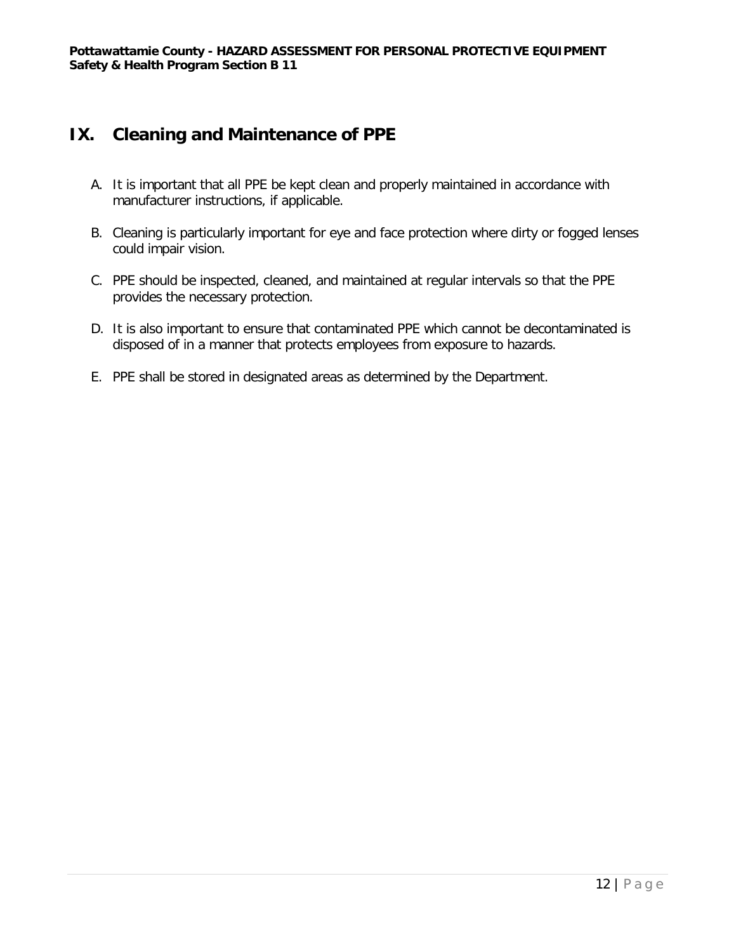# **IX. Cleaning and Maintenance of PPE**

- A. It is important that all PPE be kept clean and properly maintained in accordance with manufacturer instructions, if applicable.
- B. Cleaning is particularly important for eye and face protection where dirty or fogged lenses could impair vision.
- C. PPE should be inspected, cleaned, and maintained at regular intervals so that the PPE provides the necessary protection.
- D. It is also important to ensure that contaminated PPE which cannot be decontaminated is disposed of in a manner that protects employees from exposure to hazards.
- E. PPE shall be stored in designated areas as determined by the Department.